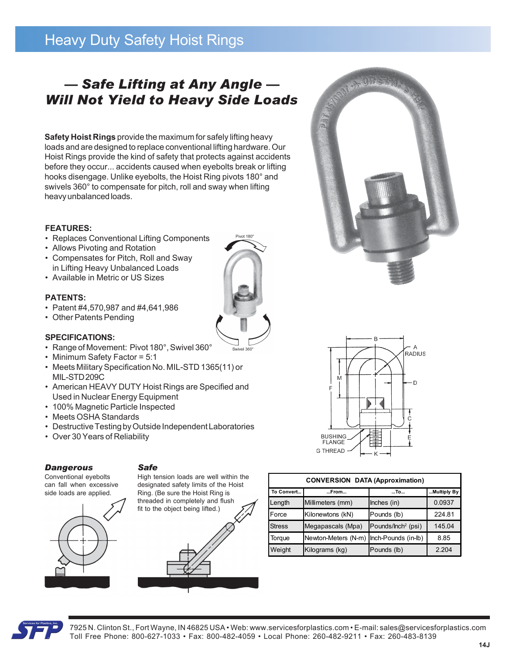# Heavy Duty Safety Hoist Rings

## *— Safe Lifting at Any Angle — Will Not Yield to Heavy Side Loads*

**Safety Hoist Rings** provide the maximum for safely lifting heavy loads and are designed to replace conventional lifting hardware. Our Hoist Rings provide the kind of safety that protects against accidents before they occur... accidents caused when eyebolts break or lifting hooks disengage. Unlike eyebolts, the Hoist Ring pivots 180° and swivels 360° to compensate for pitch, roll and sway when lifting heavy unbalanced loads.

Pivot 180

### **FEATURES:**

- Replaces Conventional Lifting Components
- Allows Pivoting and Rotation
- Compensates for Pitch, Roll and Sway in Lifting Heavy Unbalanced Loads
- Available in Metric or US Sizes

### **PATENTS:**

- Patent #4,570,987 and #4,641,986
- Other Patents Pending

#### **SPECIFICATIONS:**

- Range of Movement: Pivot 180°, Swivel 360°
- Minimum Safety Factor = 5:1
- Meets Military Specification No. MIL-STD 1365(11) or MIL-STD 209C
- American HEAVY DUTY Hoist Rings are Specified and Used in Nuclear Energy Equipment
- 100% Magnetic Particle Inspected
- Meets OSHA Standards
- Destructive Testing by Outside Independent Laboratories
- Over 30 Years of Reliability



*Safe*

Conventional eyebolts can fall when excessive side loads are applied.



#### High tension loads are well within the designated safety limits of the Hoist Ring. (Be sure the Hoist Ring is threaded in completely and flush fit to the object being lifted.)





A BUNGAL

| <b>CONVERSION DATA (Approximation)</b> |                     |                                |             |  |  |  |  |  |  |
|----------------------------------------|---------------------|--------------------------------|-------------|--|--|--|--|--|--|
| To Convert                             | From                | $$ To                          | Multiply By |  |  |  |  |  |  |
| Length                                 | Millimeters (mm)    | Inches (in)                    | 0.0937      |  |  |  |  |  |  |
| Force                                  | Kilonewtons (kN)    | Pounds (lb)                    | 224.81      |  |  |  |  |  |  |
| <b>Stress</b>                          | Megapascals (Mpa)   | Pounds/Inch <sup>2</sup> (psi) | 145.04      |  |  |  |  |  |  |
| Torque                                 | Newton-Meters (N-m) | Inch-Pounds (in-lb)            | 8.85        |  |  |  |  |  |  |
| Weight                                 | Kilograms (kg)      | Pounds (lb)                    | 2.204       |  |  |  |  |  |  |